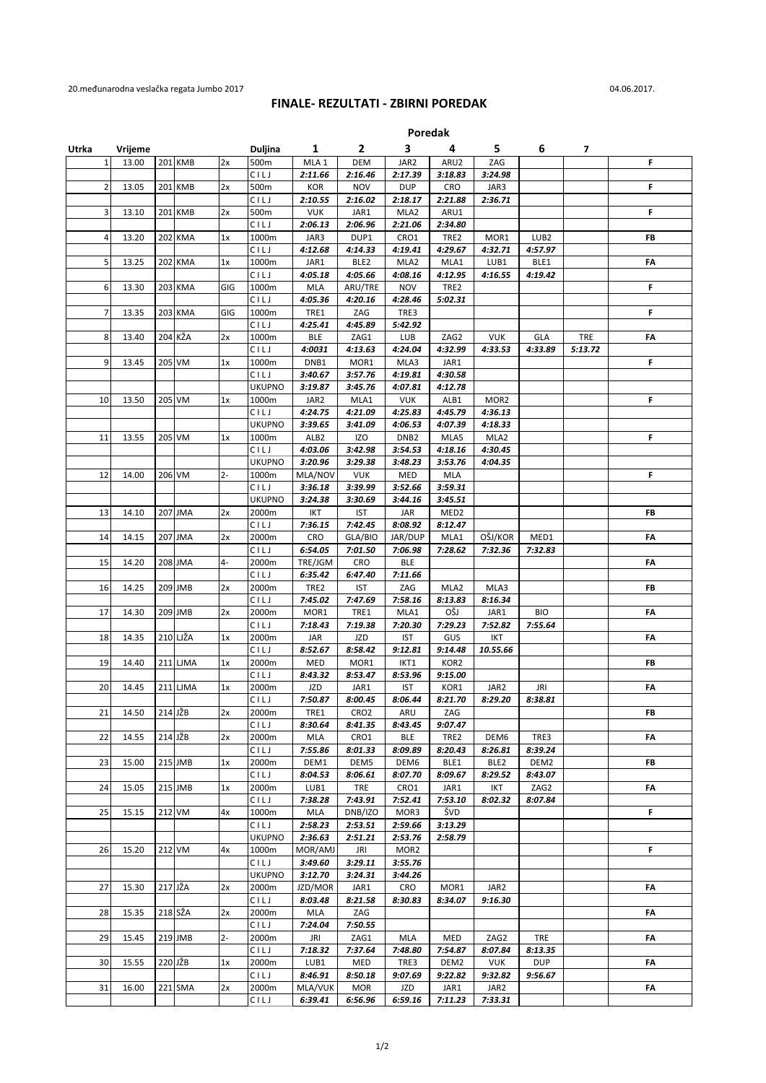## **FINALE- REZULTATI - ZBIRNI POREDAK**

**Poredak**

| Utrka          | Vrijeme |           |       | Duljina                | 1                | $\overline{2}$              | з                     | 4                           | 5                           | 6                     | 7       |    |
|----------------|---------|-----------|-------|------------------------|------------------|-----------------------------|-----------------------|-----------------------------|-----------------------------|-----------------------|---------|----|
| $\mathbf{1}$   | 13.00   | 201 KMB   | 2x    | 500m                   | MLA 1            | <b>DEM</b>                  | JAR2                  | ARU2                        | ZAG                         |                       |         | F  |
|                |         |           |       | CILJ                   | 2:11.66          | 2:16.46                     | 2:17.39               | 3:18.83                     | 3:24.98                     |                       |         |    |
| 2              | 13.05   | 201 KMB   | 2x    | 500m<br>CILJ           | KOR<br>2:10.55   | <b>NOV</b><br>2:16.02       | <b>DUP</b><br>2:18.17 | CRO<br>2:21.88              | JAR3<br>2:36.71             |                       |         | F  |
| 3              | 13.10   | 201 KMB   | 2x    | 500m                   | <b>VUK</b>       | JAR1                        | MLA2                  | ARU1                        |                             |                       |         | F. |
|                |         |           |       | CILJ                   | 2:06.13          | 2:06.96                     | 2:21.06               | 2:34.80                     |                             |                       |         |    |
| 4              | 13.20   | 202 KMA   | 1x    | 1000m                  | JAR3             | DUP1                        | CRO1                  | TRE2                        | MOR1                        | LUB <sub>2</sub>      |         | FB |
|                |         |           |       | CILJ                   | 4:12.68          | 4:14.33                     | 4:19.41               | 4:29.67                     | 4:32.71                     | 4:57.97               |         |    |
| 5              | 13.25   | 202 KMA   | 1x    | 1000m                  | JAR1             | BLE <sub>2</sub>            | MLA2                  | MLA1                        | LUB1                        | BLE1                  |         | FA |
|                |         |           |       | CILJ                   | 4:05.18          | 4:05.66                     | 4:08.16               | 4:12.95                     | 4:16.55                     | 4:19.42               |         |    |
| 6              | 13.30   | 203 KMA   | GIG   | 1000m<br>CILJ          | MLA<br>4:05.36   | ARU/TRE<br>4:20.16          | <b>NOV</b><br>4:28.46 | TRE2<br>5:02.31             |                             |                       |         | F  |
| $\overline{7}$ | 13.35   | 203 KMA   | GIG   | 1000m                  | TRE1             | ZAG                         | TRE3                  |                             |                             |                       |         | F  |
|                |         |           |       | CILJ                   | 4:25.41          | 4:45.89                     | 5:42.92               |                             |                             |                       |         |    |
| 8              | 13.40   | 204 KŽA   | 2x    | 1000m                  | <b>BLE</b>       | ZAG1                        | LUB                   | ZAG2                        | <b>VUK</b>                  | GLA                   | TRE     | FA |
|                |         |           |       | CILJ                   | 4:0031           | 4:13.63                     | 4:24.04               | 4:32.99                     | 4:33.53                     | 4:33.89               | 5:13.72 |    |
| 9              | 13.45   | 205 VM    | 1x    | 1000m                  | DNB1             | MOR1                        | MLA3                  | JAR1                        |                             |                       |         | F  |
|                |         |           |       | CILJ                   | 3:40.67          | 3:57.76                     | 4:19.81               | 4:30.58                     |                             |                       |         |    |
|                |         |           |       | <b>UKUPNO</b>          | 3:19.87          | 3:45.76                     | 4:07.81               | 4:12.78                     |                             |                       |         |    |
| 10             | 13.50   | 205 VM    | 1x    | 1000m<br>CILJ          | JAR2<br>4:24.75  | MLA1<br>4:21.09             | <b>VUK</b><br>4:25.83 | ALB1<br>4:45.79             | MOR <sub>2</sub><br>4:36.13 |                       |         | F  |
|                |         |           |       | <b>UKUPNO</b>          | 3:39.65          | 3:41.09                     | 4:06.53               | 4:07.39                     | 4:18.33                     |                       |         |    |
| 11             | 13.55   | 205 VM    | 1x    | 1000m                  | ALB <sub>2</sub> | <b>IZO</b>                  | DNB <sub>2</sub>      | MLA5                        | MLA2                        |                       |         | F  |
|                |         |           |       | CILJ                   | 4:03.06          | 3:42.98                     | 3:54.53               | 4:18.16                     | 4:30.45                     |                       |         |    |
|                |         |           |       | <b>UKUPNO</b>          | 3:20.96          | 3:29.38                     | 3:48.23               | 3:53.76                     | 4:04.35                     |                       |         |    |
| 12             | 14.00   | 206 VM    | $2 -$ | 1000m                  | MLA/NOV          | <b>VUK</b>                  | MED                   | MLA                         |                             |                       |         | F  |
|                |         |           |       | CILJ                   | 3:36.18          | 3:39.99                     | 3:52.66               | 3:59.31                     |                             |                       |         |    |
| 13             | 14.10   | 207 JMA   | 2x    | <b>UKUPNO</b><br>2000m | 3:24.38<br>IKT   | 3:30.69<br><b>IST</b>       | 3:44.16               | 3:45.51<br>MED <sub>2</sub> |                             |                       |         | FB |
|                |         |           |       | CILJ                   | 7:36.15          | 7:42.45                     | JAR<br>8:08.92        | 8:12.47                     |                             |                       |         |    |
| 14             | 14.15   | 207 JMA   | 2x    | 2000m                  | CRO              | GLA/BIO                     | JAR/DUP               | MLA1                        | OŠJ/KOR                     | MED1                  |         | FA |
|                |         |           |       | CILJ                   | 6:54.05          | 7:01.50                     | 7:06.98               | 7:28.62                     | 7:32.36                     | 7:32.83               |         |    |
| 15             | 14.20   | 208 JMA   | 4-    | 2000m                  | TRE/JGM          | CRO                         | <b>BLE</b>            |                             |                             |                       |         | FA |
|                |         |           |       | CILJ                   | 6:35.42          | 6:47.40                     | 7:11.66               |                             |                             |                       |         |    |
| 16             | 14.25   | 209 JMB   | 2x    | 2000m                  | TRE2             | <b>IST</b>                  | ZAG                   | MLA <sub>2</sub>            | MLA3                        |                       |         | FB |
|                |         |           | 2x    | CILJ                   | 7:45.02          | 7:47.69                     | 7:58.16               | 8:13.83<br>OŠJ              | 8:16.34                     |                       |         |    |
| 17             | 14.30   | 209 JMB   |       | 2000m<br>CILJ          | MOR1<br>7:18.43  | TRE1<br>7:19.38             | MLA1<br>7:20.30       | 7:29.23                     | JAR1<br>7:52.82             | <b>BIO</b><br>7:55.64 |         | FA |
| 18             | 14.35   | 210 LJŽA  | 1x    | 2000m                  | JAR              | <b>JZD</b>                  | <b>IST</b>            | GUS                         | <b>IKT</b>                  |                       |         | FA |
|                |         |           |       | CILJ                   | 8:52.67          | 8:58.42                     | 9:12.81               | 9:14.48                     | 10.55.66                    |                       |         |    |
| 19             | 14.40   | 211 LJMA  | 1x    | 2000m                  | MED              | MOR1                        | IKT1                  | KOR2                        |                             |                       |         | FB |
|                |         |           |       | CILJ                   | 8:43.32          | 8:53.47                     | 8:53.96               | 9:15.00                     |                             |                       |         |    |
| 20             | 14.45   | 211 LJMA  | 1x    | 2000m                  | JZD              | JAR1                        | <b>IST</b>            | KOR1                        | JAR2                        | <b>JRI</b>            |         | FA |
|                |         | $214$ JŽB |       | CILJ                   | 7:50.87          | 8:00.45                     | 8:06.44               | 8:21.70                     | 8:29.20                     | 8:38.81               |         |    |
| 21             | 14.50   |           | 2x    | 2000m<br>CILJ          | TRE1<br>8:30.64  | CRO <sub>2</sub><br>8:41.35 | ARU<br>8:43.45        | ZAG<br>9:07.47              |                             |                       |         | FB |
| 22             | 14.55   | $214$ JŽB | 2x    | 2000m                  | MLA              | CRO1                        | BLE                   | TRE2                        | DEM6                        | TRE3                  |         | FA |
|                |         |           |       | CILJ                   | 7:55.86          | 8:01.33                     | 8:09.89               | 8:20.43                     | 8:26.81                     | 8:39.24               |         |    |
| 23             | 15.00   | 215 JMB   | 1x    | 2000m                  | DEM1             | DEM5                        | DEM6                  | BLE1                        | BLE <sub>2</sub>            | DEM2                  |         | FB |
|                |         |           |       | CILJ                   | 8:04.53          | 8:06.61                     | 8:07.70               | 8:09.67                     | 8:29.52                     | 8:43.07               |         |    |
| 24             | 15.05   | 215 JMB   | 1x    | 2000m                  | LUB1             | TRE                         | CRO1                  | JAR1                        | IKT                         | ZAG2                  |         | FА |
|                |         |           |       | CILJ<br>1000m          | 7:38.28          | 7:43.91                     | 7:52.41               | 7:53.10<br>ŠVD              | 8:02.32                     | 8:07.84               |         |    |
| 25             | 15.15   | 212 VM    | 4х    | CILJ                   | MLA<br>2:58.23   | DNB/IZO<br>2:53.51          | MOR3<br>2:59.66       | 3:13.29                     |                             |                       |         | F. |
|                |         |           |       | <b>UKUPNO</b>          | 2:36.63          | 2:51.21                     | 2:53.76               | 2:58.79                     |                             |                       |         |    |
| 26             | 15.20   | 212 VM    | 4х    | 1000m                  | MOR/AMJ          | <b>JRI</b>                  | MOR <sub>2</sub>      |                             |                             |                       |         | F  |
|                |         |           |       | CILJ                   | 3:49.60          | 3:29.11                     | 3:55.76               |                             |                             |                       |         |    |
|                |         |           |       | <b>UKUPNO</b>          | 3:12.70          | 3:24.31                     | 3:44.26               |                             |                             |                       |         |    |
| 27             | 15.30   | 217 JŽA   | 2x    | 2000m                  | JZD/MOR          | JAR1                        | CRO                   | MOR1                        | JAR2                        |                       |         | FA |
|                |         |           |       | CILJ                   | 8:03.48          | 8:21.58                     | 8:30.83               | 8:34.07                     | 9:16.30                     |                       |         |    |
| 28             | 15.35   | 218 SŽA   | 2x    | 2000m<br>CILJ          | MLA<br>7:24.04   | ZAG<br>7:50.55              |                       |                             |                             |                       |         | FA |
| 29             | 15.45   | 219 JMB   | $2 -$ | 2000m                  | <b>JRI</b>       | ZAG1                        | MLA                   | MED                         | ZAG2                        | <b>TRE</b>            |         | FA |
|                |         |           |       | CILJ                   | 7:18.32          | 7:37.64                     | 7:48.80               | 7:54.87                     | 8:07.84                     | 8:13.35               |         |    |
| 30             | 15.55   | $220$ JŽB | 1x    | 2000m                  | LUB1             | MED                         | TRE3                  | DEM2                        | <b>VUK</b>                  | <b>DUP</b>            |         | FA |
|                |         |           |       | CILJ                   | 8:46.91          | 8:50.18                     | 9:07.69               | 9:22.82                     | 9:32.82                     | 9:56.67               |         |    |
| 31             | 16.00   | 221 SMA   | 2x    | 2000m                  | MLA/VUK          | <b>MOR</b>                  | JZD                   | JAR1                        | JAR2                        |                       |         | FA |
|                |         |           |       | CILJ                   | 6:39.41          | 6:56.96                     | 6:59.16               | 7:11.23                     | 7:33.31                     |                       |         |    |